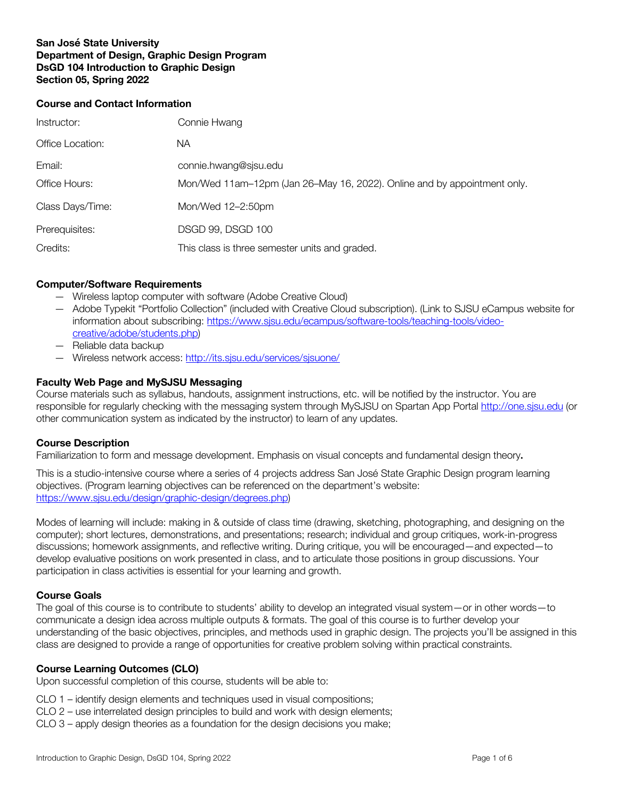## **San José State University Department of Design, Graphic Design Program DsGD 104 Introduction to Graphic Design Section 05, Spring 2022**

#### **Course and Contact Information**

| Instructor:      | Connie Hwang                                                             |
|------------------|--------------------------------------------------------------------------|
| Office Location: | NA.                                                                      |
| Email:           | connie.hwang@sjsu.edu                                                    |
| Office Hours:    | Mon/Wed 11am-12pm (Jan 26-May 16, 2022). Online and by appointment only. |
| Class Days/Time: | Mon/Wed 12-2:50pm                                                        |
| Prerequisites:   | DSGD 99, DSGD 100                                                        |
| Credits:         | This class is three semester units and graded.                           |

## **Computer/Software Requirements**

- Wireless laptop computer with software (Adobe Creative Cloud)
- Adobe Typekit "Portfolio Collection" (included with Creative Cloud subscription). (Link to SJSU eCampus website for information about subscribing: https://www.sjsu.edu/ecampus/software-tools/teaching-tools/videocreative/adobe/students.php)
- Reliable data backup
- Wireless network access: http://its.sjsu.edu/services/sjsuone/

# **Faculty Web Page and MySJSU Messaging**

Course materials such as syllabus, handouts, assignment instructions, etc. will be notified by the instructor. You are responsible for regularly checking with the messaging system through MySJSU on Spartan App Portal http://one.sjsu.edu (or other communication system as indicated by the instructor) to learn of any updates.

# **Course Description**

Familiarization to form and message development. Emphasis on visual concepts and fundamental design theory**.**

This is a studio-intensive course where a series of 4 projects address San José State Graphic Design program learning objectives. (Program learning objectives can be referenced on the department's website: https://www.sjsu.edu/design/graphic-design/degrees.php)

Modes of learning will include: making in & outside of class time (drawing, sketching, photographing, and designing on the computer); short lectures, demonstrations, and presentations; research; individual and group critiques, work-in-progress discussions; homework assignments, and reflective writing. During critique, you will be encouraged—and expected—to develop evaluative positions on work presented in class, and to articulate those positions in group discussions. Your participation in class activities is essential for your learning and growth.

#### **Course Goals**

The goal of this course is to contribute to students' ability to develop an integrated visual system—or in other words—to communicate a design idea across multiple outputs & formats. The goal of this course is to further develop your understanding of the basic objectives, principles, and methods used in graphic design. The projects you'll be assigned in this class are designed to provide a range of opportunities for creative problem solving within practical constraints.

#### **Course Learning Outcomes (CLO)**

Upon successful completion of this course, students will be able to:

- CLO 1 identify design elements and techniques used in visual compositions;
- CLO 2 use interrelated design principles to build and work with design elements;
- CLO 3 apply design theories as a foundation for the design decisions you make;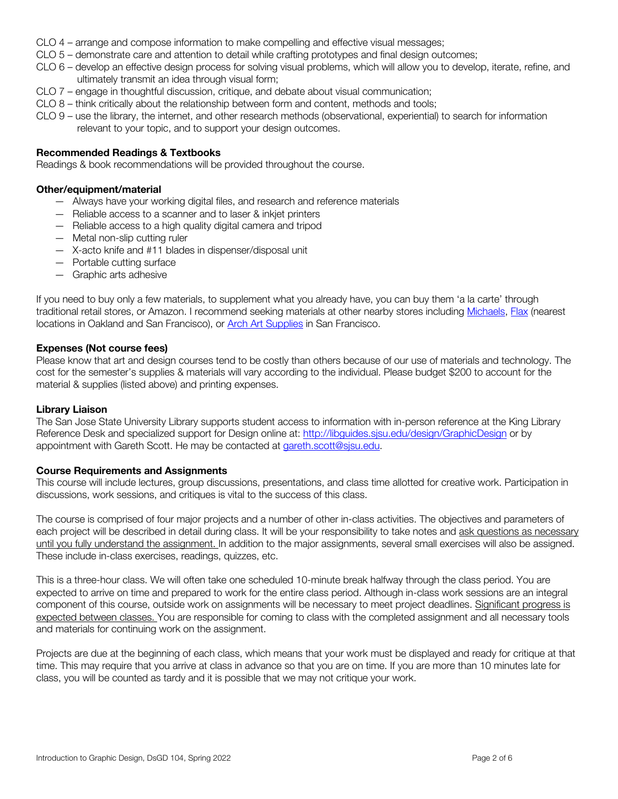- CLO 4 arrange and compose information to make compelling and effective visual messages;
- CLO 5 demonstrate care and attention to detail while crafting prototypes and final design outcomes;
- CLO 6 develop an effective design process for solving visual problems, which will allow you to develop, iterate, refine, and ultimately transmit an idea through visual form;
- CLO 7 engage in thoughtful discussion, critique, and debate about visual communication;
- CLO 8 think critically about the relationship between form and content, methods and tools;
- CLO 9 use the library, the internet, and other research methods (observational, experiential) to search for information relevant to your topic, and to support your design outcomes.

## **Recommended Readings & Textbooks**

Readings & book recommendations will be provided throughout the course.

### **Other/equipment/material**

- Always have your working digital files, and research and reference materials
- Reliable access to a scanner and to laser & inkjet printers
- Reliable access to a high quality digital camera and tripod
- Metal non-slip cutting ruler
- X-acto knife and #11 blades in dispenser/disposal unit
- Portable cutting surface
- Graphic arts adhesive

If you need to buy only a few materials, to supplement what you already have, you can buy them 'a la carte' through traditional retail stores, or Amazon. I recommend seeking materials at other nearby stores including Michaels, Flax (nearest locations in Oakland and San Francisco), or Arch Art Supplies in San Francisco.

#### **Expenses (Not course fees)**

Please know that art and design courses tend to be costly than others because of our use of materials and technology. The cost for the semester's supplies & materials will vary according to the individual. Please budget \$200 to account for the material & supplies (listed above) and printing expenses.

#### **Library Liaison**

The San Jose State University Library supports student access to information with in-person reference at the King Library Reference Desk and specialized support for Design online at: http://libguides.sjsu.edu/design/GraphicDesign or by appointment with Gareth Scott. He may be contacted at gareth.scott@sjsu.edu.

#### **Course Requirements and Assignments**

This course will include lectures, group discussions, presentations, and class time allotted for creative work. Participation in discussions, work sessions, and critiques is vital to the success of this class.

The course is comprised of four major projects and a number of other in-class activities. The objectives and parameters of each project will be described in detail during class. It will be your responsibility to take notes and ask questions as necessary until you fully understand the assignment. In addition to the major assignments, several small exercises will also be assigned. These include in-class exercises, readings, quizzes, etc.

This is a three-hour class. We will often take one scheduled 10-minute break halfway through the class period. You are expected to arrive on time and prepared to work for the entire class period. Although in-class work sessions are an integral component of this course, outside work on assignments will be necessary to meet project deadlines. Significant progress is expected between classes. You are responsible for coming to class with the completed assignment and all necessary tools and materials for continuing work on the assignment.

Projects are due at the beginning of each class, which means that your work must be displayed and ready for critique at that time. This may require that you arrive at class in advance so that you are on time. If you are more than 10 minutes late for class, you will be counted as tardy and it is possible that we may not critique your work.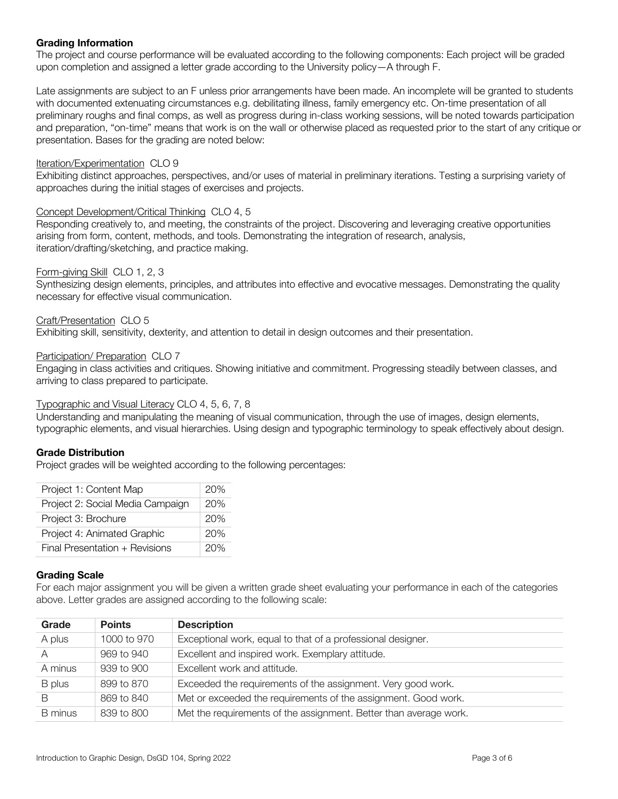# **Grading Information**

The project and course performance will be evaluated according to the following components: Each project will be graded upon completion and assigned a letter grade according to the University policy—A through F.

Late assignments are subject to an F unless prior arrangements have been made. An incomplete will be granted to students with documented extenuating circumstances e.g. debilitating illness, family emergency etc. On-time presentation of all preliminary roughs and final comps, as well as progress during in-class working sessions, will be noted towards participation and preparation, "on-time" means that work is on the wall or otherwise placed as requested prior to the start of any critique or presentation. Bases for the grading are noted below:

### Iteration/Experimentation CLO 9

Exhibiting distinct approaches, perspectives, and/or uses of material in preliminary iterations. Testing a surprising variety of approaches during the initial stages of exercises and projects.

## Concept Development/Critical Thinking CLO 4, 5

Responding creatively to, and meeting, the constraints of the project. Discovering and leveraging creative opportunities arising from form, content, methods, and tools. Demonstrating the integration of research, analysis, iteration/drafting/sketching, and practice making.

## Form-giving Skill CLO 1, 2, 3

Synthesizing design elements, principles, and attributes into effective and evocative messages. Demonstrating the quality necessary for effective visual communication.

#### Craft/Presentation CLO 5

Exhibiting skill, sensitivity, dexterity, and attention to detail in design outcomes and their presentation.

#### Participation/ Preparation CLO 7

Engaging in class activities and critiques. Showing initiative and commitment. Progressing steadily between classes, and arriving to class prepared to participate.

### Typographic and Visual Literacy CLO 4, 5, 6, 7, 8

Understanding and manipulating the meaning of visual communication, through the use of images, design elements, typographic elements, and visual hierarchies. Using design and typographic terminology to speak effectively about design.

#### **Grade Distribution**

Project grades will be weighted according to the following percentages:

| Project 1: Content Map           | 20% |
|----------------------------------|-----|
| Project 2: Social Media Campaign | 20% |
| Project 3: Brochure              | 20% |
| Project 4: Animated Graphic      | 20% |
| Final Presentation + Revisions   | 20% |

# **Grading Scale**

For each major assignment you will be given a written grade sheet evaluating your performance in each of the categories above. Letter grades are assigned according to the following scale:

| Grade          | <b>Points</b> | <b>Description</b>                                                |
|----------------|---------------|-------------------------------------------------------------------|
| A plus         | 1000 to 970   | Exceptional work, equal to that of a professional designer.       |
| A              | 969 to 940    | Excellent and inspired work. Exemplary attitude.                  |
| A minus        | 939 to 900    | Excellent work and attitude.                                      |
| B plus         | 899 to 870    | Exceeded the requirements of the assignment. Very good work.      |
|                | 869 to 840    | Met or exceeded the requirements of the assignment. Good work.    |
| <b>B</b> minus | 839 to 800    | Met the requirements of the assignment. Better than average work. |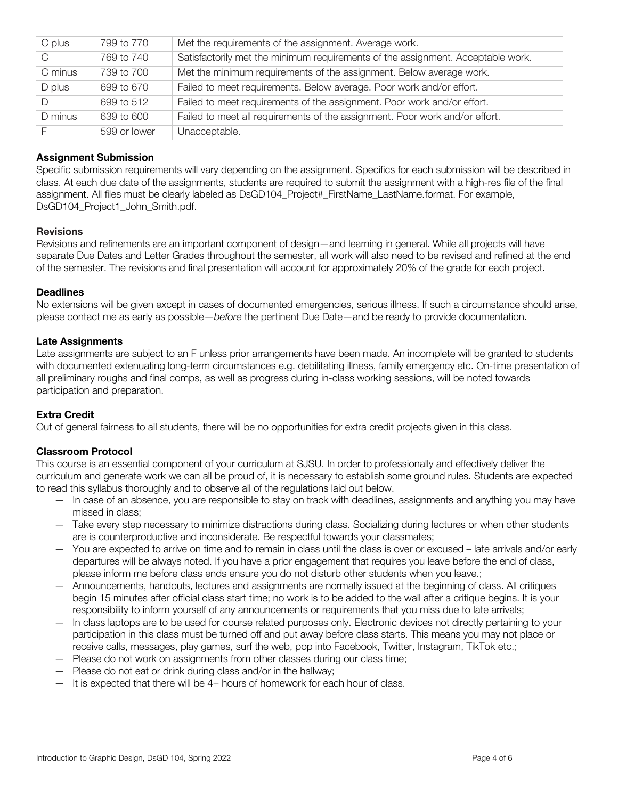| C plus  | 799 to 770   | Met the requirements of the assignment. Average work.                           |
|---------|--------------|---------------------------------------------------------------------------------|
| C       | 769 to 740   | Satisfactorily met the minimum requirements of the assignment. Acceptable work. |
| C minus | 739 to 700   | Met the minimum requirements of the assignment. Below average work.             |
| D plus  | 699 to 670   | Failed to meet requirements. Below average. Poor work and/or effort.            |
|         | 699 to 512   | Failed to meet requirements of the assignment. Poor work and/or effort.         |
| D minus | 639 to 600   | Failed to meet all requirements of the assignment. Poor work and/or effort.     |
|         | 599 or lower | Unacceptable.                                                                   |

# **Assignment Submission**

Specific submission requirements will vary depending on the assignment. Specifics for each submission will be described in class. At each due date of the assignments, students are required to submit the assignment with a high-res file of the final assignment. All files must be clearly labeled as DsGD104\_Project#\_FirstName\_LastName.format. For example, DsGD104\_Project1\_John\_Smith.pdf.

## **Revisions**

Revisions and refinements are an important component of design—and learning in general. While all projects will have separate Due Dates and Letter Grades throughout the semester, all work will also need to be revised and refined at the end of the semester. The revisions and final presentation will account for approximately 20% of the grade for each project.

## **Deadlines**

No extensions will be given except in cases of documented emergencies, serious illness. If such a circumstance should arise, please contact me as early as possible—*before* the pertinent Due Date—and be ready to provide documentation.

## **Late Assignments**

Late assignments are subject to an F unless prior arrangements have been made. An incomplete will be granted to students with documented extenuating long-term circumstances e.g. debilitating illness, family emergency etc. On-time presentation of all preliminary roughs and final comps, as well as progress during in-class working sessions, will be noted towards participation and preparation.

# **Extra Credit**

Out of general fairness to all students, there will be no opportunities for extra credit projects given in this class.

# **Classroom Protocol**

This course is an essential component of your curriculum at SJSU. In order to professionally and effectively deliver the curriculum and generate work we can all be proud of, it is necessary to establish some ground rules. Students are expected to read this syllabus thoroughly and to observe all of the regulations laid out below.

- In case of an absence, you are responsible to stay on track with deadlines, assignments and anything you may have missed in class;
- Take every step necessary to minimize distractions during class. Socializing during lectures or when other students are is counterproductive and inconsiderate. Be respectful towards your classmates;
- You are expected to arrive on time and to remain in class until the class is over or excused late arrivals and/or early departures will be always noted. If you have a prior engagement that requires you leave before the end of class, please inform me before class ends ensure you do not disturb other students when you leave.;
- Announcements, handouts, lectures and assignments are normally issued at the beginning of class. All critiques begin 15 minutes after official class start time; no work is to be added to the wall after a critique begins. It is your responsibility to inform yourself of any announcements or requirements that you miss due to late arrivals;
- In class laptops are to be used for course related purposes only. Electronic devices not directly pertaining to your participation in this class must be turned off and put away before class starts. This means you may not place or receive calls, messages, play games, surf the web, pop into Facebook, Twitter, Instagram, TikTok etc.;
- Please do not work on assignments from other classes during our class time;
- Please do not eat or drink during class and/or in the hallway;
- It is expected that there will be 4+ hours of homework for each hour of class.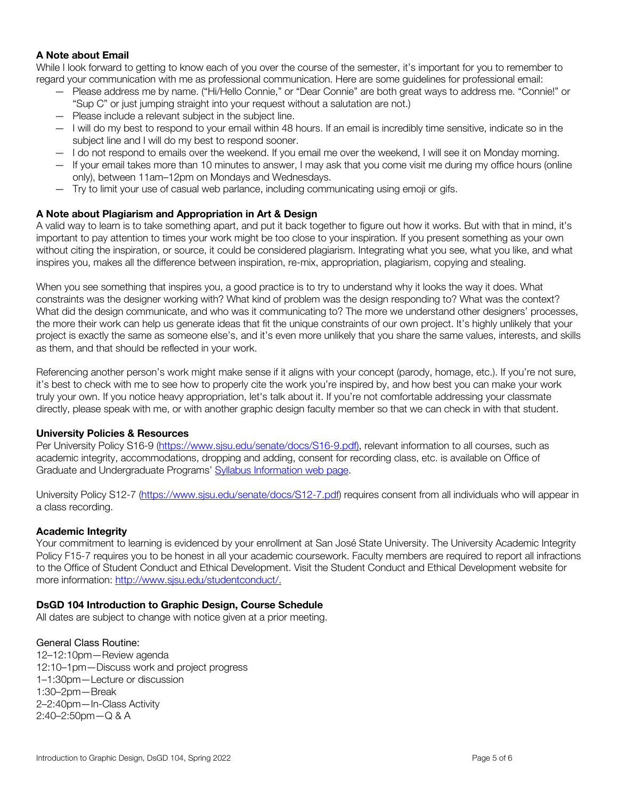# **A Note about Email**

While I look forward to getting to know each of you over the course of the semester, it's important for you to remember to regard your communication with me as professional communication. Here are some guidelines for professional email:

- Please address me by name. ("Hi/Hello Connie," or "Dear Connie" are both great ways to address me. "Connie!" or "Sup C" or just jumping straight into your request without a salutation are not.)
- Please include a relevant subject in the subject line.
- I will do my best to respond to your email within 48 hours. If an email is incredibly time sensitive, indicate so in the subject line and I will do my best to respond sooner.
- I do not respond to emails over the weekend. If you email me over the weekend, I will see it on Monday morning.
- If your email takes more than 10 minutes to answer, I may ask that you come visit me during my office hours (online only), between 11am–12pm on Mondays and Wednesdays.
- Try to limit your use of casual web parlance, including communicating using emoji or gifs.

# **A Note about Plagiarism and Appropriation in Art & Design**

A valid way to learn is to take something apart, and put it back together to figure out how it works. But with that in mind, it's important to pay attention to times your work might be too close to your inspiration. If you present something as your own without citing the inspiration, or source, it could be considered plagiarism. Integrating what you see, what you like, and what inspires you, makes all the difference between inspiration, re-mix, appropriation, plagiarism, copying and stealing.

When you see something that inspires you, a good practice is to try to understand why it looks the way it does. What constraints was the designer working with? What kind of problem was the design responding to? What was the context? What did the design communicate, and who was it communicating to? The more we understand other designers' processes, the more their work can help us generate ideas that fit the unique constraints of our own project. It's highly unlikely that your project is exactly the same as someone else's, and it's even more unlikely that you share the same values, interests, and skills as them, and that should be reflected in your work.

Referencing another person's work might make sense if it aligns with your concept (parody, homage, etc.). If you're not sure, it's best to check with me to see how to properly cite the work you're inspired by, and how best you can make your work truly your own. If you notice heavy appropriation, let's talk about it. If you're not comfortable addressing your classmate directly, please speak with me, or with another graphic design faculty member so that we can check in with that student.

# **University Policies & Resources**

Per University Policy S16-9 (https://www.sjsu.edu/senate/docs/S16-9.pdf), relevant information to all courses, such as academic integrity, accommodations, dropping and adding, consent for recording class, etc. is available on Office of Graduate and Undergraduate Programs' Syllabus Information web page.

University Policy S12-7 (https://www.sjsu.edu/senate/docs/S12-7.pdf) requires consent from all individuals who will appear in a class recording.

# **Academic Integrity**

Your commitment to learning is evidenced by your enrollment at San José State University. The University Academic Integrity Policy F15-7 requires you to be honest in all your academic coursework. Faculty members are required to report all infractions to the Office of Student Conduct and Ethical Development. Visit the Student Conduct and Ethical Development website for more information: http://www.sjsu.edu/studentconduct/.

# **DsGD 104 Introduction to Graphic Design, Course Schedule**

All dates are subject to change with notice given at a prior meeting.

#### General Class Routine:

12–12:10pm—Review agenda 12:10–1pm—Discuss work and project progress 1–1:30pm—Lecture or discussion 1:30–2pm—Break 2–2:40pm—In-Class Activity 2:40–2:50pm—Q & A